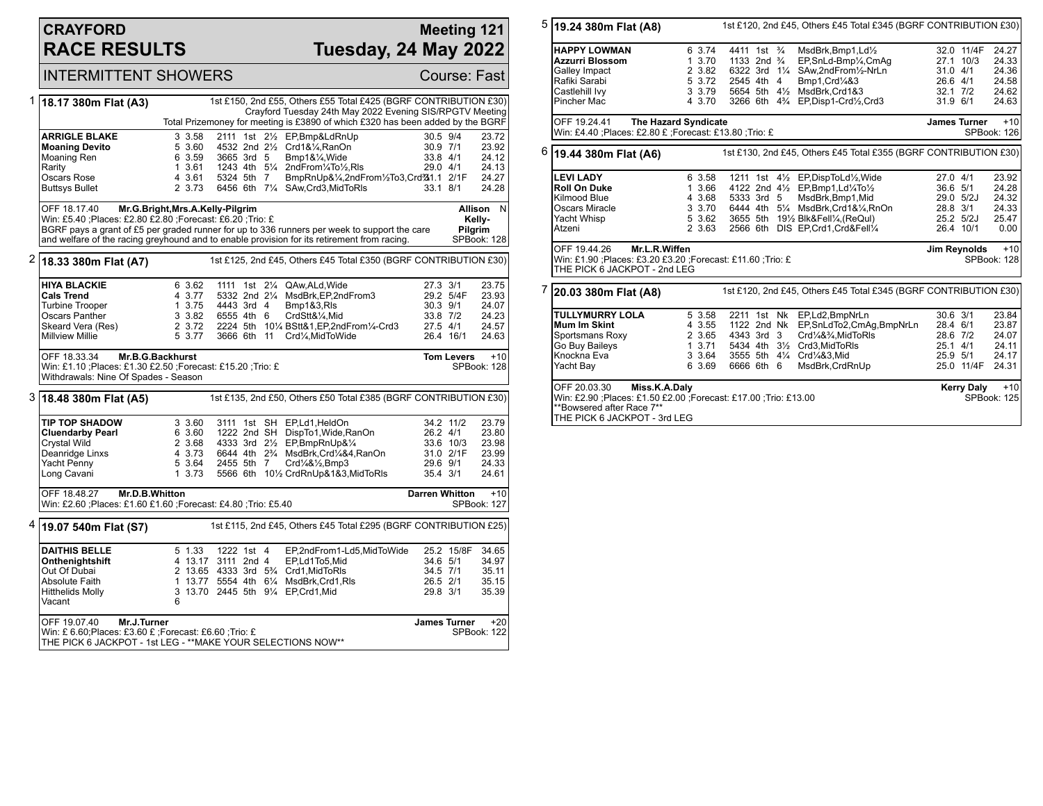# **CRAYFORD RACE RESULTS**

### **Meeting 121 Tuesday, 24 May 2022**

#### INTERMITTENT SHOWERS Course: Fast

| 1 | 18.17 380m Flat (A3)                                                                                                                                                                        |                                                                  |            |  |  | 1st £150, 2nd £55, Others £55 Total £425 (BGRF CONTRIBUTION £30)                         |          |                     |                    |
|---|---------------------------------------------------------------------------------------------------------------------------------------------------------------------------------------------|------------------------------------------------------------------|------------|--|--|------------------------------------------------------------------------------------------|----------|---------------------|--------------------|
|   |                                                                                                                                                                                             |                                                                  |            |  |  | Crayford Tuesday 24th May 2022 Evening SIS/RPGTV Meeting                                 |          |                     |                    |
|   |                                                                                                                                                                                             |                                                                  |            |  |  | Total Prizemoney for meeting is £3890 of which £320 has been added by the BGRF           |          |                     |                    |
|   | <b>ARRIGLE BLAKE</b>                                                                                                                                                                        | 3 3.58                                                           |            |  |  | 2111 1st 21/2 EP, Bmp&LdRnUp                                                             | 30.5 9/4 |                     | 23.72              |
|   | <b>Moaning Devito</b>                                                                                                                                                                       | 5 3.60                                                           |            |  |  | 4532 2nd 21/2 Crd1&1/4, RanOn                                                            | 30.9 7/1 |                     | 23.92              |
|   | Moaning Ren                                                                                                                                                                                 | 6 3.59                                                           | 3665 3rd 5 |  |  | $Bmp1&\frac{1}{4}$ , Wide                                                                | 33.8 4/1 |                     | 24.12              |
|   | Rarity                                                                                                                                                                                      | 1 3.61                                                           |            |  |  | 1243 4th 51/4 2ndFrom1/4To1/2,RIs                                                        | 29.0 4/1 |                     | 24.13              |
|   | Oscars Rose                                                                                                                                                                                 | 4 3.61                                                           | 5324 5th 7 |  |  | BmpRnUp&1/4,2ndFrom1/2To3,Crd341.1 2/1F                                                  |          |                     | 24.27              |
|   | Buttsys Bullet                                                                                                                                                                              | 2 3.73                                                           |            |  |  | 6456 6th 71/4 SAw, Crd3, MidToRIs                                                        | 33.1 8/1 |                     | 24.28              |
|   | OFF 18.17.40<br>Mr.G.Bright, Mrs.A.Kelly-Pilgrim                                                                                                                                            |                                                                  |            |  |  |                                                                                          |          |                     | N<br>Allison       |
|   |                                                                                                                                                                                             | Win: £5.40 ;Places: £2.80 £2.80 ;Forecast: £6.20 ;Trio: £        |            |  |  |                                                                                          |          |                     | Kelly-             |
|   | BGRF pays a grant of £5 per graded runner for up to 336 runners per week to support the care<br>and welfare of the racing greyhound and to enable provision for its retirement from racing. |                                                                  |            |  |  |                                                                                          | Pilgrim  |                     |                    |
|   |                                                                                                                                                                                             |                                                                  |            |  |  |                                                                                          |          | SPBook: 128         |                    |
|   | $2\,$ 18.33 380m Flat (A7)                                                                                                                                                                  | 1st £125, 2nd £45, Others £45 Total £350 (BGRF CONTRIBUTION £30) |            |  |  |                                                                                          |          |                     |                    |
|   | <b>HIYA BLACKIE</b>                                                                                                                                                                         | 6 3.62                                                           |            |  |  | 1111 1st 21/4 QAw.ALd.Wide                                                               | 27.3 3/1 |                     | 23.75              |
|   | <b>Cals Trend</b>                                                                                                                                                                           | 4 3.77                                                           |            |  |  | 5332 2nd 21/4 MsdBrk, EP, 2nd From 3                                                     |          | 29.2 5/4F           | 23.93              |
|   | <b>Turbine Trooper</b>                                                                                                                                                                      | 1 3.75                                                           | 4443 3rd 4 |  |  | Bmp1&3,RIs                                                                               | 30.3 9/1 |                     | 24.07              |
|   | Oscars Panther                                                                                                                                                                              | 3 3.82                                                           | 6555 4th 6 |  |  | CrdStt&1/4,Mid                                                                           | 33.8 7/2 |                     | 24.23              |
|   | Skeard Vera (Res)                                                                                                                                                                           | 2 3.72                                                           |            |  |  | 2224 5th 101/4 BStt&1.EP.2ndFrom1/4-Crd3                                                 | 27.5 4/1 |                     | 24.57              |
|   | <b>Millview Millie</b>                                                                                                                                                                      | 5 3.77                                                           |            |  |  | 3666 6th 11 Crd1/4, MidToWide                                                            |          | 26.4 16/1           | 24.63              |
|   | OFF 18.33.34                                                                                                                                                                                | Mr.B.G.Backhurst<br><b>Tom Levers</b>                            |            |  |  |                                                                                          |          |                     |                    |
|   | Win: £1.10 ;Places: £1.30 £2.50 ;Forecast: £15.20 ;Trio: £<br>Withdrawals: Nine Of Spades - Season                                                                                          |                                                                  |            |  |  |                                                                                          |          |                     | SPBook: 128        |
|   |                                                                                                                                                                                             |                                                                  |            |  |  |                                                                                          |          |                     |                    |
|   | 3 18.48 380m Flat (A5)                                                                                                                                                                      |                                                                  |            |  |  | 1st £135, 2nd £50, Others £50 Total £385 (BGRF CONTRIBUTION £30)                         |          |                     |                    |
|   | <b>TIP TOP SHADOW</b>                                                                                                                                                                       | 3 3.60                                                           |            |  |  | 3111 1st SH EP,Ld1,HeldOn                                                                |          | 34.2 11/2           | 23.79              |
|   | <b>Cluendarby Pearl</b>                                                                                                                                                                     | 6 3.60                                                           |            |  |  | 1222 2nd SH DispTo1, Wide, RanOn                                                         | 26.2 4/1 |                     | 23.80              |
|   | Crystal Wild                                                                                                                                                                                | 2 3.68                                                           |            |  |  | 4333 3rd 21/2 EP, BmpRnUp&1/4                                                            |          | 33.6 10/3           | 23.98              |
|   | Deanridge Linxs                                                                                                                                                                             | 4 3.73                                                           |            |  |  | 6644 4th 2 <sup>3</sup> / <sub>4</sub> MsdBrk, Crd <sup>1</sup> / <sub>4</sub> &4, RanOn |          | 31.0 2/1F           | 23.99              |
|   | Yacht Penny                                                                                                                                                                                 | 5 3.64                                                           | 2455 5th 7 |  |  | Crd1/4&1/2, Bmp3                                                                         | 29.6 9/1 |                     | 24.33              |
|   | Long Cavani                                                                                                                                                                                 | 1, 3.73                                                          |            |  |  | 5566 6th 101/2 CrdRnUp&1&3, MidToRIs                                                     | 35.4 3/1 |                     | 24.61              |
|   | OFF 18.48.27                                                                                                                                                                                | Mr.D.B.Whitton<br><b>Darren Whitton</b>                          |            |  |  |                                                                                          |          |                     | $+10$              |
|   | Win: £2.60 ;Places: £1.60 £1.60 ;Forecast: £4.80 ;Trio: £5.40                                                                                                                               |                                                                  |            |  |  |                                                                                          |          |                     | SPBook: 127        |
| 4 | 19.07 540m Flat (S7)                                                                                                                                                                        |                                                                  |            |  |  | 1st £115, 2nd £45, Others £45 Total £295 (BGRF CONTRIBUTION £25)                         |          |                     |                    |
|   | <b>DAITHIS BELLE</b>                                                                                                                                                                        | 5 1.33                                                           | 1222 1st 4 |  |  | EP,2ndFrom1-Ld5,MidToWide                                                                |          | 25.2 15/8F          | 34.65              |
|   | Onthenightshift                                                                                                                                                                             | 4 13.17 3111 2nd 4                                               |            |  |  | EP,Ld1To5,Mid                                                                            | 34.6 5/1 |                     | 34.97              |
|   | Out Of Dubai                                                                                                                                                                                |                                                                  |            |  |  | 2 13.65 4333 3rd 53/4 Crd1, MidToRIs                                                     | 34.5 7/1 |                     | 35.11              |
|   | Absolute Faith                                                                                                                                                                              |                                                                  |            |  |  | 1 13.77 5554 4th 61/4 MsdBrk, Crd1, RIs                                                  | 26.5 2/1 |                     | 35.15              |
|   | <b>Hitthelids Molly</b>                                                                                                                                                                     |                                                                  |            |  |  | 3 13.70 2445 5th 91/4 EP, Crd1, Mid                                                      | 29.8 3/1 |                     | 35.39              |
|   | Vacant                                                                                                                                                                                      | 6                                                                |            |  |  |                                                                                          |          |                     |                    |
|   | OFF 19.07.40<br>Mr.J.Turner                                                                                                                                                                 |                                                                  |            |  |  |                                                                                          |          | <b>James Turner</b> | $+20$              |
|   | Win: £ 6.60;Places: £3.60 £ ;Forecast: £6.60 ;Trio: £                                                                                                                                       |                                                                  |            |  |  |                                                                                          |          |                     | <b>SPBook: 122</b> |
|   | THE PICK 6 JACKPOT - 1st LEG - **MAKE YOUR SELECTIONS NOW**                                                                                                                                 |                                                                  |            |  |  |                                                                                          |          |                     |                    |

| 5 | 1st £120, 2nd £45, Others £45 Total £345 (BGRF CONTRIBUTION £30)<br>19.24 380m Flat (A8)        |                      |                                      |                                                                                         |                     |                      |  |  |
|---|-------------------------------------------------------------------------------------------------|----------------------|--------------------------------------|-----------------------------------------------------------------------------------------|---------------------|----------------------|--|--|
|   | <b>HAPPY LOWMAN</b>                                                                             | 6 3.74               | 4411 1st <sup>3</sup> / <sub>4</sub> | MsdBrk,Bmp1,Ld1/2                                                                       | 32.0 11/4F          | 24.27                |  |  |
|   | Azzurri Blossom                                                                                 | 1, 3.70              | 1133 2nd <sup>3</sup> / <sub>4</sub> | EP,SnLd-Bmp1/4,CmAq                                                                     | 27.1 10/3           | 24.33                |  |  |
|   | Galley Impact                                                                                   | 2 3.82               | 6322 3rd 11/4                        | SAw,2ndFrom1/2-NrLn                                                                     | 31.0 4/1            | 24.36                |  |  |
|   | Rafiki Sarabi                                                                                   | 5 3.72               | 2545 4th 4                           | Bmp1, Crd1/4&3                                                                          | 26.6 4/1            | 24.58                |  |  |
|   | Castlehill Ivy                                                                                  | 3 3.79               |                                      | 5654 5th 41/2 MsdBrk, Crd1&3                                                            | $32.1$ $7/2$        | 24.62                |  |  |
|   | Pincher Mac                                                                                     | 4 3.70               |                                      | 3266 6th 4 <sup>3</sup> / <sub>4</sub> EP, Disp1-Crd <sup>1</sup> / <sub>2</sub> , Crd3 | 31.9 6/1            | 24.63                |  |  |
|   | OFF 19.24.41<br>Win: £4.40 ; Places: £2.80 £ ; Forecast: £13.80 ; Trio: £                       | The Hazard Syndicate |                                      |                                                                                         | <b>James Turner</b> | $+10$<br>SPBook: 126 |  |  |
|   |                                                                                                 |                      |                                      |                                                                                         |                     |                      |  |  |
|   | $6$ 19.44 380m Flat (A6)<br>1st £130, 2nd £45, Others £45 Total £355 (BGRF CONTRIBUTION £30)    |                      |                                      |                                                                                         |                     |                      |  |  |
|   | <b>LEVI LADY</b>                                                                                | 6 3.58               |                                      | 1211 1st 41/ <sub>2</sub> EP, DispToLd <sup>1</sup> / <sub>2</sub> , Wide               | 27.0 4/1            | 23.92                |  |  |
|   | <b>Roll On Duke</b>                                                                             | 1 3.66               |                                      | 4122 2nd 41/2 EP, Bmp1, Ld1/4To1/2                                                      | 36.6 5/1            | 24.28                |  |  |
|   | Kilmood Blue                                                                                    | 4 3.68               | 5333 3rd 5                           | MsdBrk,Bmp1,Mid                                                                         | 29.0 5/2J           | 24.32                |  |  |
|   | Oscars Miracle                                                                                  | 3 3.70               |                                      | 6444 4th 51/4 MsdBrk, Crd1&1/4, RnOn                                                    | 28.8 3/1            | 24.33                |  |  |
|   | Yacht Whisp                                                                                     | 5 3.62               |                                      | 3655 5th 191/2 Blk&Fell1/4, (ReQul)                                                     | 25.2 5/2J           | 25.47                |  |  |
|   | Atzeni                                                                                          | 2 3.63               |                                      | 2566 6th DIS EP, Crd1, Crd&Fell1/4                                                      | 26.4 10/1           | 0.00                 |  |  |
|   | OFF 19.44.26 Mr.L.R. Wiffen                                                                     |                      | Jim Reynolds<br>$+10$                |                                                                                         |                     |                      |  |  |
|   | Win: £1.90 ; Places: £3.20 £3.20 ; Forecast: £11.60 ; Trio: £<br>THE PICK 6 JACKPOT - 2nd LEG   |                      |                                      |                                                                                         |                     | SPBook: 128          |  |  |
|   |                                                                                                 |                      |                                      |                                                                                         |                     |                      |  |  |
|   | 20.03 380m Flat (A8)                                                                            |                      |                                      | 1st £120, 2nd £45, Others £45 Total £345 (BGRF CONTRIBUTION £30)                        |                     |                      |  |  |
|   | <b>TULLYMURRY LOLA</b>                                                                          | 5 3.58               |                                      | 2211 1st Nk EP,Ld2,BmpNrLn                                                              | $30.6$ $3/1$        | 23.84                |  |  |
|   | Mum Im Skint                                                                                    | 4 3.55               |                                      | 1122 2nd Nk EP, SnLdTo2, CmAg, BmpNrLn                                                  | 28.4 6/1            | 23.87                |  |  |
|   | Sportsmans Roxy                                                                                 | 2 3.65               | 4343 3rd 3                           | Crd1/4&3/4, MidToRIs                                                                    | 28.6 7/2            | 24.07                |  |  |
|   | Go Buy Baileys                                                                                  | 13.71                |                                      | 5434 4th 31/2 Crd3. Mid To RIs                                                          | 25.1 4/1            | 24.11                |  |  |
|   | Knockna Eva                                                                                     | 3.3.64               |                                      | 3555 5th 41/4 Crd1/4&3, Mid                                                             | 25.9 5/1            | 24.17                |  |  |
|   | Yacht Bay                                                                                       | 6 3.69               | 6666 6th 6                           | MsdBrk,CrdRnUp                                                                          | 25.0 11/4F          | 24.31                |  |  |
|   | OFF 20.03.30<br>Miss.K.A.Daly                                                                   |                      | <b>Kerry Daly</b><br>$+10$           |                                                                                         |                     |                      |  |  |
|   | Win: £2.90 ; Places: £1.50 £2.00 ; Forecast: £17.00 ; Trio: £13.00<br>**Bowsered after Race 7** |                      | SPBook: 125                          |                                                                                         |                     |                      |  |  |
|   | THE PICK 6 JACKPOT - 3rd LEG                                                                    |                      |                                      |                                                                                         |                     |                      |  |  |